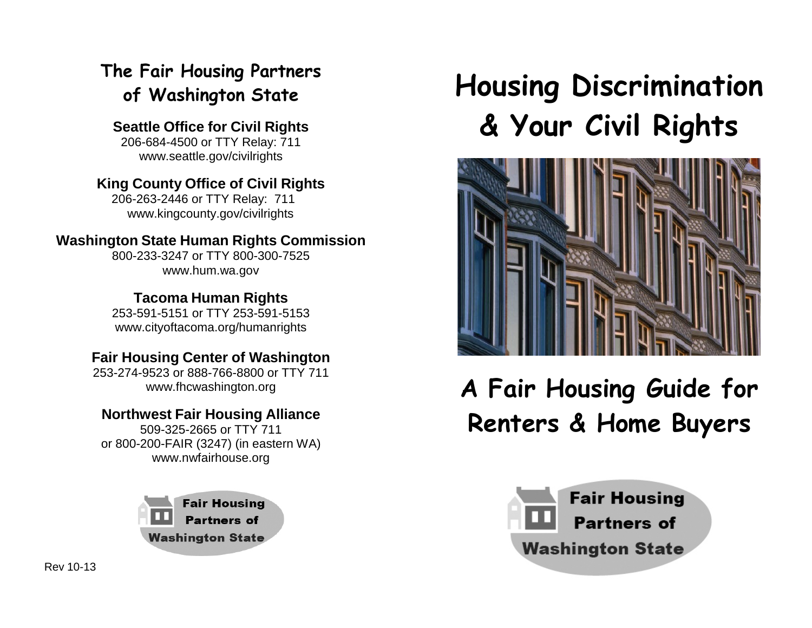# **The Fair Housing Partners of Washington State**

**Seattle Office for Civil Rights** 206-684-4500 or TTY Relay: 71[1](http://www.seattle.gov/civilrights) [www.seattle.gov/civilrights](http://www.seattle.gov/civilrights)

#### **King County Office of Civil Rights** 206-263-2446 or TTY Relay: 71[1](http://www.kingcounty.gov/civilrights)

[www.kingcounty.gov/civilrights](http://www.kingcounty.gov/civilrights)

## **Washington State Human Rights Commission**

800-233-3247 or TTY 800-300-752[5](http://www.hum.wa.gov/) [www.hum.wa.gov](http://www.hum.wa.gov/)

**Tacoma Human Rights** 253-591-5151 or TTY 253-591-515[3](http://www.cityoftacoma.org/humanrights) [www.cityoftacoma.org/humanrights](http://www.cityoftacoma.org/humanrights)

# **Fair Housing Center of Washington**

253-274-9523 or 888-766-8800 or TTY 71[1](http://www.fhcwashington.org/) [www.fhcwashington.org](http://www.fhcwashington.org/)

## **Northwest Fair Housing Alliance**

509-325-2665 or TTY 711 or 800-200-FAIR (3247) (in eastern WA) [www.nwfairhouse.org](http://www.nwfairhouse.org/)

> **Fair Housing Partners of Washington State**

# **Housing Discrimination & Your Civil Rights**



# **A Fair Housing Guide for Renters & Home Buyers**

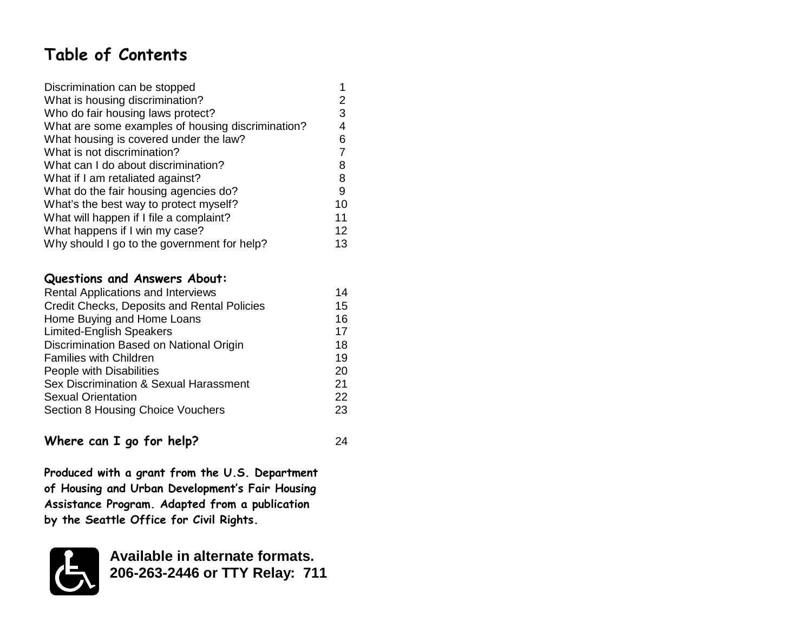# **Table of Contents**

| Discrimination can be stopped                     |    |  |
|---------------------------------------------------|----|--|
| What is housing discrimination?                   |    |  |
| Who do fair housing laws protect?                 | 3  |  |
| What are some examples of housing discrimination? | 4  |  |
| What housing is covered under the law?            | 6  |  |
| What is not discrimination?                       |    |  |
| What can I do about discrimination?               | 8  |  |
| What if I am retaliated against?                  | 8  |  |
| What do the fair housing agencies do?             | 9  |  |
| What's the best way to protect myself?            | 10 |  |
| What will happen if I file a complaint?           | 11 |  |
| What happens if I win my case?                    | 12 |  |
| Why should I go to the government for help?       |    |  |

#### **Questions and Answers About:**

| Rental Applications and Interviews          | 14 |
|---------------------------------------------|----|
| Credit Checks, Deposits and Rental Policies | 15 |
| Home Buying and Home Loans                  | 16 |
| <b>Limited-English Speakers</b>             | 17 |
| Discrimination Based on National Origin     | 18 |
| <b>Families with Children</b>               | 19 |
| People with Disabilities                    | 20 |
| Sex Discrimination & Sexual Harassment      | 21 |
| <b>Sexual Orientation</b>                   | 22 |
| Section 8 Housing Choice Vouchers           | 23 |
|                                             |    |

### **Where can I go for help?** 24

**Produced with a grant from the U.S. Department of Housing and Urban Development's Fair Housing Assistance Program. Adapted from a publication by the Seattle Office for Civil Rights.**



**Available in alternate formats. 206-263-2446 or TTY Relay: 711**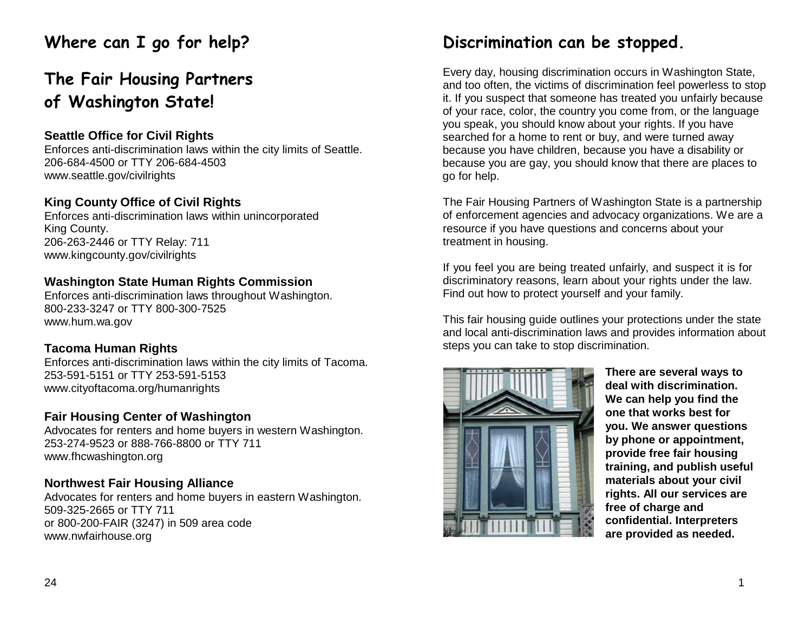# **Where can I go for help?**

# **The Fair Housing Partners of Washington State!**

### **Seattle Office for Civil Rights**

Enforces anti-discrimination laws within the city limits of Seattle. 206-684-4500 or TTY 206-684-450[3](http://www.seattle.gov/civilrights) [www.seattle.gov/civilrights](http://www.seattle.gov/civilrights)

#### **King County Office of Civil Rights**

Enforces anti-discrimination laws within unincorporated King County. 206-263-2446 or TTY Relay: 711 [www.kingcounty.gov/civilrights](http://www.kingcounty.gov/civilrights)

#### **Washington State Human Rights Commission**

Enforces anti-discrimination laws throughout Washington. 800-233-3247 or TTY 800-300-7525 [www.hum.wa.gov](http://www.hum.wa.gov/)

#### **Tacoma Human Rights**

Enforces anti-discrimination laws within the city limits of Tacoma. 253-591-5151 or TTY 253-591-515[3](http://www.cityoftacoma.org/humanrights) [www.cityoftacoma.org/humanrights](http://www.cityoftacoma.org/humanrights)

#### **Fair Housing Center of Washington**

Advocates for renters and home buyers in western Washington. 253-274-9523 or 888-766-8800 or TTY 71[1](http://www.fhcwashington.org/) [www.fhcwashington.org](http://www.fhcwashington.org/)

### **Northwest Fair Housing Alliance**

Advocates for renters and home buyers in eastern Washington. 509-325-2665 or TTY 711 or 800-200-FAIR (3247) in 509 area cod[e](http://www.nwfairhouse.org/) [www.nwfairhouse.org](http://www.nwfairhouse.org/)

# **Discrimination can be stopped.**

Every day, housing discrimination occurs in Washington State, and too often, the victims of discrimination feel powerless to stop it. If you suspect that someone has treated you unfairly because of your race, color, the country you come from, or the language you speak, you should know about your rights. If you have searched for a home to rent or buy, and were turned away because you have children, because you have a disability or because you are gay, you should know that there are places to go for help.

The Fair Housing Partners of Washington State is a partnership of enforcement agencies and advocacy organizations. We are a resource if you have questions and concerns about your treatment in housing.

If you feel you are being treated unfairly, and suspect it is for discriminatory reasons, learn about your rights under the law. Find out how to protect yourself and your family.

This fair housing guide outlines your protections under the state and local anti-discrimination laws and provides information about steps you can take to stop discrimination.



**There are several ways to deal with discrimination. We can help you find the one that works best for you. We answer questions by phone or appointment, provide free fair housing training, and publish useful materials about your civil rights. All our services are free of charge and confidential. Interpreters are provided as needed.**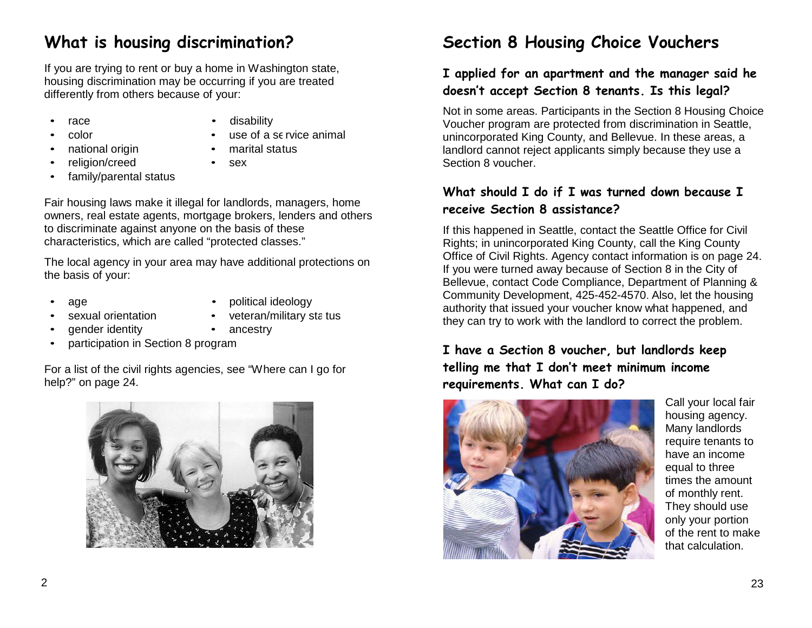# **What is housing discrimination?**

If you are trying to rent or buy a home in Washington state, housing discrimination may be occurring if you are treated differently from others because of your:

- - race disability
- 
- color use of a se rvice animal

marital status

- national origin
	- religion/creed sex
- family/parental status
- 

Fair housing laws make it illegal for landlords, managers, home owners, real estate agents, mortgage brokers, lenders and others to discriminate against anyone on the basis of these characteristics, which are called "protected classes."

The local agency in your area may have additional protections on the basis of your:

- 
- age **•** political ideology
- sexual orientation veteran/military sta tus
- - qender identity **•** ancestry
- participation in Section 8 program

For a list of the civil rights agencies, see "Where can I go for help?" on page 24.



# **Section 8 Housing Choice Vouchers**

### **I applied for an apartment and the manager said he doesn't accept Section 8 tenants. Is this legal?**

Not in some areas. Participants in the Section 8 Housing Choice Voucher program are protected from discrimination in Seattle, unincorporated King County, and Bellevue. In these areas, a landlord cannot reject applicants simply because they use a Section 8 voucher.

### **What should I do if I was turned down because I receive Section 8 assistance?**

If this happened in Seattle, contact the Seattle Office for Civil Rights; in unincorporated King County, call the King County Office of Civil Rights. Agency contact information is on page 24. If you were turned away because of Section 8 in the City of Bellevue, contact Code Compliance, Department of Planning & Community Development, 425-452-4570. Also, let the housing authority that issued your voucher know what happened, and they can try to work with the landlord to correct the problem.

### **I have a Section 8 voucher, but landlords keep telling me that I don't meet minimum income requirements. What can I do?**



Call your local fair housing agency. Many landlords require tenants to have an income equal to three times the amount of monthly rent. They should use only your portion of the rent to make that calculation.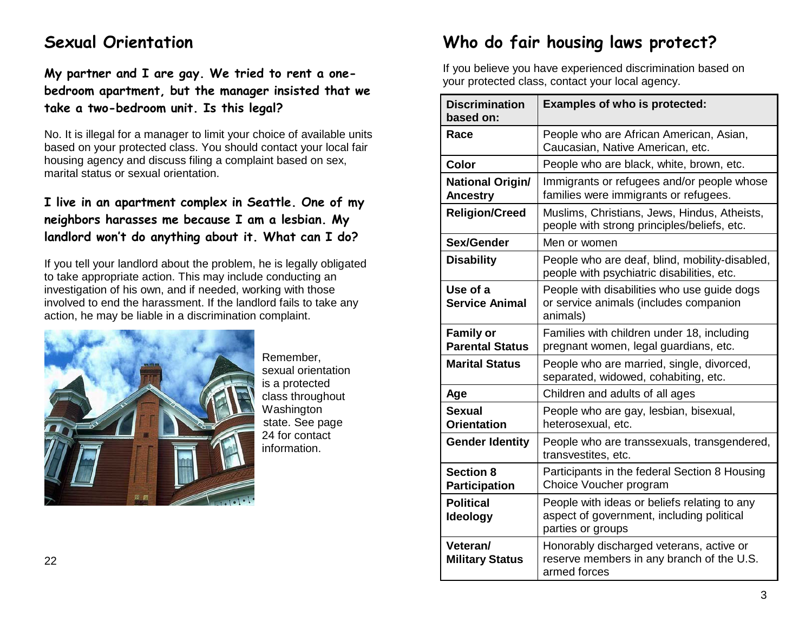# **Sexual Orientation**

**My partner and I are gay. We tried to rent a onebedroom apartment, but the manager insisted that we take a two-bedroom unit. Is this legal?**

No. It is illegal for a manager to limit your choice of available units based on your protected class. You should contact your local fair housing agency and discuss filing a complaint based on sex, marital status or sexual orientation.

### **I live in an apartment complex in Seattle. One of my neighbors harasses me because I am a lesbian. My landlord won't do anything about it. What can I do?**

If you tell your landlord about the problem, he is legally obligated to take appropriate action. This may include conducting an investigation of his own, and if needed, working with those involved to end the harassment. If the landlord fails to take any action, he may be liable in a discrimination complaint.



Remember, sexual orientation is a protected class throughout Washington state. See page 24 for contact information.

# **Who do fair housing laws protect?**

If you believe you have experienced discrimination based on your protected class, contact your local agency.

| <b>Discrimination</b><br>based on:         | <b>Examples of who is protected:</b>                                                                           |
|--------------------------------------------|----------------------------------------------------------------------------------------------------------------|
| Race                                       | People who are African American, Asian,<br>Caucasian, Native American, etc.                                    |
| <b>Color</b>                               | People who are black, white, brown, etc.                                                                       |
| <b>National Origin/</b><br><b>Ancestry</b> | Immigrants or refugees and/or people whose<br>families were immigrants or refugees.                            |
| <b>Religion/Creed</b>                      | Muslims, Christians, Jews, Hindus, Atheists,<br>people with strong principles/beliefs, etc.                    |
| Sex/Gender                                 | Men or women                                                                                                   |
| <b>Disability</b>                          | People who are deaf, blind, mobility-disabled,<br>people with psychiatric disabilities, etc.                   |
| Use of a<br><b>Service Animal</b>          | People with disabilities who use guide dogs<br>or service animals (includes companion<br>animals)              |
| <b>Family or</b><br><b>Parental Status</b> | Families with children under 18, including<br>pregnant women, legal guardians, etc.                            |
| <b>Marital Status</b>                      | People who are married, single, divorced,<br>separated, widowed, cohabiting, etc.                              |
| Age                                        | Children and adults of all ages                                                                                |
| <b>Sexual</b><br><b>Orientation</b>        | People who are gay, lesbian, bisexual,<br>heterosexual, etc.                                                   |
| <b>Gender Identity</b>                     | People who are transsexuals, transgendered,<br>transvestites, etc.                                             |
| <b>Section 8</b><br><b>Participation</b>   | Participants in the federal Section 8 Housing<br>Choice Voucher program                                        |
| <b>Political</b><br>Ideology               | People with ideas or beliefs relating to any<br>aspect of government, including political<br>parties or groups |
| Veteran/<br><b>Military Status</b>         | Honorably discharged veterans, active or<br>reserve members in any branch of the U.S.<br>armed forces          |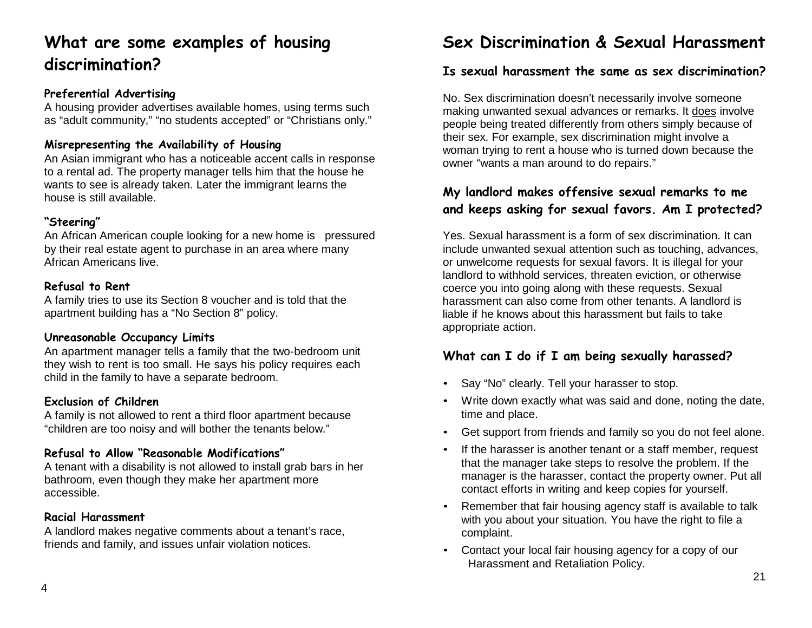# **What are some examples of housing discrimination?**

#### **Preferential Advertising**

A housing provider advertises available homes, using terms such as "adult community," "no students accepted" or "Christians only."

#### **Misrepresenting the Availability of Housing**

An Asian immigrant who has a noticeable accent calls in response to a rental ad. The property manager tells him that the house he wants to see is already taken. Later the immigrant learns the house is still available.

#### **"Steering"**

An African American couple looking for a new home is pressured by their real estate agent to purchase in an area where many African Americans live.

#### **Refusal to Rent**

A family tries to use its Section 8 voucher and is told that the apartment building has a "No Section 8" policy.

#### **Unreasonable Occupancy Limits**

An apartment manager tells a family that the two-bedroom unit they wish to rent is too small. He says his policy requires each child in the family to have a separate bedroom.

#### **Exclusion of Children**

A family is not allowed to rent a third floor apartment because "children are too noisy and will bother the tenants below."

#### **Refusal to Allow "Reasonable Modifications"**

A tenant with a disability is not allowed to install grab bars in her bathroom, even though they make her apartment more accessible.

#### **Racial Harassment**

A landlord makes negative comments about a tenant's race, friends and family, and issues unfair violation notices.

# **Sex Discrimination & Sexual Harassment**

#### **Is sexual harassment the same as sex discrimination?**

No. Sex discrimination doesn't necessarily involve someone making unwanted sexual advances or remarks. It does involve people being treated differently from others simply because of their sex. For example, sex discrimination might involve a woman trying to rent a house who is turned down because the owner "wants a man around to do repairs."

### **My landlord makes offensive sexual remarks to me and keeps asking for sexual favors. Am I protected?**

Yes. Sexual harassment is a form of sex discrimination. It can include unwanted sexual attention such as touching, advances, or unwelcome requests for sexual favors. It is illegal for your landlord to withhold services, threaten eviction, or otherwise coerce you into going along with these requests. Sexual harassment can also come from other tenants. A landlord is liable if he knows about this harassment but fails to take appropriate action.

### **What can I do if I am being sexually harassed?**

- Say "No" clearly. Tell your harasser to stop.
- Write down exactly what was said and done, noting the date, time and place.
- Get support from friends and family so you do not feel alone.
- If the harasser is another tenant or a staff member, request that the manager take steps to resolve the problem. If the manager is the harasser, contact the property owner. Put all contact efforts in writing and keep copies for yourself.
- Remember that fair housing agency staff is available to talk with you about your situation. You have the right to file a complaint.
- Contact your local fair housing agency for a copy of our Harassment and Retaliation Policy.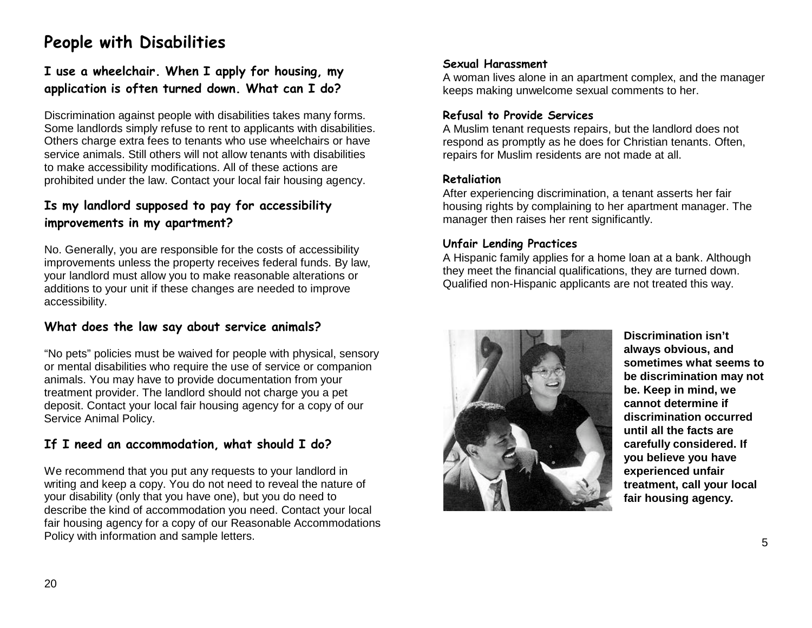# **People with Disabilities**

### **I use a wheelchair. When I apply for housing, my application is often turned down. What can I do?**

Discrimination against people with disabilities takes many forms. Some landlords simply refuse to rent to applicants with disabilities. Others charge extra fees to tenants who use wheelchairs or have service animals. Still others will not allow tenants with disabilities to make accessibility modifications. All of these actions are prohibited under the law. Contact your local fair housing agency.

### **Is my landlord supposed to pay for accessibility improvements in my apartment?**

No. Generally, you are responsible for the costs of accessibility improvements unless the property receives federal funds. By law, your landlord must allow you to make reasonable alterations or additions to your unit if these changes are needed to improve accessibility.

### **What does the law say about service animals?**

"No pets" policies must be waived for people with physical, sensory or mental disabilities who require the use of service or companion animals. You may have to provide documentation from your treatment provider. The landlord should not charge you a pet deposit. Contact your local fair housing agency for a copy of our Service Animal Policy.

### **If I need an accommodation, what should I do?**

We recommend that you put any requests to your landlord in writing and keep a copy. You do not need to reveal the nature of your disability (only that you have one), but you do need to describe the kind of accommodation you need. Contact your local fair housing agency for a copy of our Reasonable Accommodations Policy with information and sample letters.

#### **Sexual Harassment**

A woman lives alone in an apartment complex, and the manager keeps making unwelcome sexual comments to her.

#### **Refusal to Provide Services**

A Muslim tenant requests repairs, but the landlord does not respond as promptly as he does for Christian tenants. Often, repairs for Muslim residents are not made at all.

#### **Retaliation**

After experiencing discrimination, a tenant asserts her fair housing rights by complaining to her apartment manager. The manager then raises her rent significantly.

#### **Unfair Lending Practices**

A Hispanic family applies for a home loan at a bank. Although they meet the financial qualifications, they are turned down. Qualified non-Hispanic applicants are not treated this way.



**Discrimination isn't always obvious, and sometimes what seems to be discrimination may not be. Keep in mind, we cannot determine if discrimination occurred until all the facts are carefully considered. If you believe you have experienced unfair treatment, call your local fair housing agency.**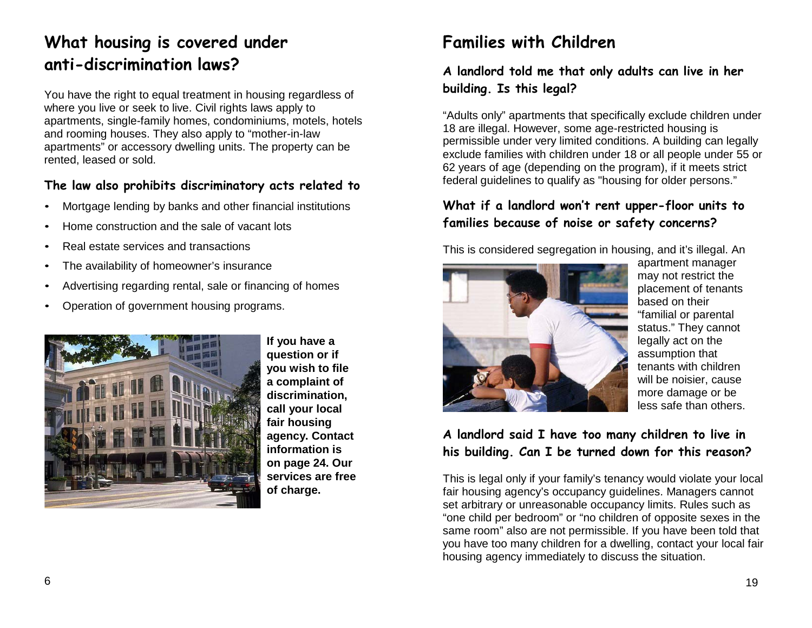# **What housing is covered under anti-discrimination laws?**

You have the right to equal treatment in housing regardless of where you live or seek to live. Civil rights laws apply to apartments, single-family homes, condominiums, motels, hotels and rooming houses. They also apply to "mother-in-law apartments" or accessory dwelling units. The property can be rented, leased or sold.

### **The law also prohibits discriminatory acts related to**

- Mortgage lending by banks and other financial institutions
- Home construction and the sale of vacant lots
- Real estate services and transactions
- The availability of homeowner's insurance
- Advertising regarding rental, sale or financing of homes
- Operation of government housing programs.



**If you have a question or if you wish to file a complaint of discrimination, call your local fair housing agency. Contact information is on page 24. Our services are free of charge.**

# **Families with Children**

### **A landlord told me that only adults can live in her building. Is this legal?**

"Adults only" apartments that specifically exclude children under 18 are illegal. However, some age-restricted housing is permissible under very limited conditions. A building can legally exclude families with children under 18 or all people under 55 or 62 years of age (depending on the program), if it meets strict federal guidelines to qualify as "housing for older persons."

### **What if a landlord won't rent upper-floor units to families because of noise or safety concerns?**

This is considered segregation in housing, and it's illegal. An



apartment manager may not restrict the placement of tenants based on their "familial or parental status." They cannot legally act on the assumption that tenants with children will be noisier, cause more damage or be less safe than others.

### **A landlord said I have too many children to live in his building. Can I be turned down for this reason?**

This is legal only if your family's tenancy would violate your local fair housing agency's occupancy guidelines. Managers cannot set arbitrary or unreasonable occupancy limits. Rules such as "one child per bedroom" or "no children of opposite sexes in the same room" also are not permissible. If you have been told that you have too many children for a dwelling, contact your local fair housing agency immediately to discuss the situation.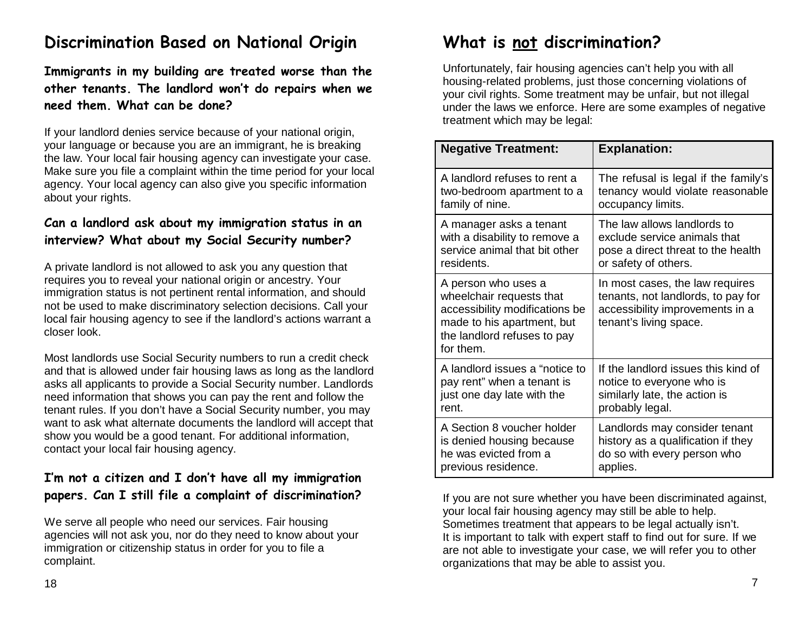# **Discrimination Based on National Origin**

**Immigrants in my building are treated worse than the other tenants. The landlord won't do repairs when we need them. What can be done?**

If your landlord denies service because of your national origin, your language or because you are an immigrant, he is breaking the law. Your local fair housing agency can investigate your case. Make sure you file a complaint within the time period for your local agency. Your local agency can also give you specific information about your rights.

### **Can a landlord ask about my immigration status in an interview? What about my Social Security number?**

A private landlord is not allowed to ask you any question that requires you to reveal your national origin or ancestry. Your immigration status is not pertinent rental information, and should not be used to make discriminatory selection decisions. Call your local fair housing agency to see if the landlord's actions warrant a closer look.

Most landlords use Social Security numbers to run a credit check and that is allowed under fair housing laws as long as the landlord asks all applicants to provide a Social Security number. Landlords need information that shows you can pay the rent and follow the tenant rules. If you don't have a Social Security number, you may want to ask what alternate documents the landlord will accept that show you would be a good tenant. For additional information, contact your local fair housing agency.

### **I'm not a citizen and I don't have all my immigration papers. Can I still file a complaint of discrimination?**

We serve all people who need our services. Fair housing agencies will not ask you, nor do they need to know about your immigration or citizenship status in order for you to file a complaint.

# **What is not discrimination?**

Unfortunately, fair housing agencies can't help you with all housing-related problems, just those concerning violations of your civil rights. Some treatment may be unfair, but not illegal under the laws we enforce. Here are some examples of negative treatment which may be legal:

| <b>Negative Treatment:</b>                                                                                                                                  | <b>Explanation:</b>                                                                                                                |
|-------------------------------------------------------------------------------------------------------------------------------------------------------------|------------------------------------------------------------------------------------------------------------------------------------|
| A landlord refuses to rent a                                                                                                                                | The refusal is legal if the family's                                                                                               |
| two-bedroom apartment to a                                                                                                                                  | tenancy would violate reasonable                                                                                                   |
| family of nine.                                                                                                                                             | occupancy limits.                                                                                                                  |
| A manager asks a tenant                                                                                                                                     | The law allows landlords to                                                                                                        |
| with a disability to remove a                                                                                                                               | exclude service animals that                                                                                                       |
| service animal that bit other                                                                                                                               | pose a direct threat to the health                                                                                                 |
| residents.                                                                                                                                                  | or safety of others.                                                                                                               |
| A person who uses a<br>wheelchair requests that<br>accessibility modifications be<br>made to his apartment, but<br>the landlord refuses to pay<br>for them. | In most cases, the law requires<br>tenants, not landlords, to pay for<br>accessibility improvements in a<br>tenant's living space. |
| A landlord issues a "notice to                                                                                                                              | If the landlord issues this kind of                                                                                                |
| pay rent" when a tenant is                                                                                                                                  | notice to everyone who is                                                                                                          |
| just one day late with the                                                                                                                                  | similarly late, the action is                                                                                                      |
| rent.                                                                                                                                                       | probably legal.                                                                                                                    |
| A Section 8 voucher holder                                                                                                                                  | Landlords may consider tenant                                                                                                      |
| is denied housing because                                                                                                                                   | history as a qualification if they                                                                                                 |
| he was evicted from a                                                                                                                                       | do so with every person who                                                                                                        |
| previous residence.                                                                                                                                         | applies.                                                                                                                           |

If you are not sure whether you have been discriminated against, your local fair housing agency may still be able to help. Sometimes treatment that appears to be legal actually isn't. It is important to talk with expert staff to find out for sure. If we are not able to investigate your case, we will refer you to other organizations that may be able to assist you.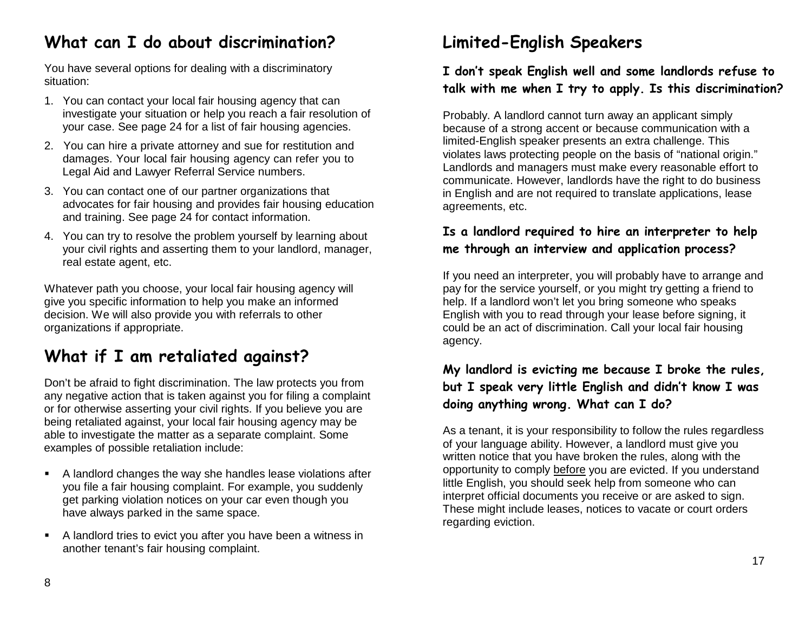# **What can I do about discrimination?**

You have several options for dealing with a discriminatory situation:

- 1. You can contact your local fair housing agency that can investigate your situation or help you reach a fair resolution of your case. See page 24 for a list of fair housing agencies.
- 2. You can hire a private attorney and sue for restitution and damages. Your local fair housing agency can refer you to Legal Aid and Lawyer Referral Service numbers.
- 3. You can contact one of our partner organizations that advocates for fair housing and provides fair housing education and training. See page 24 for contact information.
- 4. You can try to resolve the problem yourself by learning about your civil rights and asserting them to your landlord, manager, real estate agent, etc.

Whatever path you choose, your local fair housing agency will give you specific information to help you make an informed decision. We will also provide you with referrals to other organizations if appropriate.

# **What if I am retaliated against?**

Don't be afraid to fight discrimination. The law protects you from any negative action that is taken against you for filing a complaint or for otherwise asserting your civil rights. If you believe you are being retaliated against, your local fair housing agency may be able to investigate the matter as a separate complaint. Some examples of possible retaliation include:

- A landlord changes the way she handles lease violations after you file a fair housing complaint. For example, you suddenly get parking violation notices on your car even though you have always parked in the same space.
- A landlord tries to evict you after you have been a witness in another tenant's fair housing complaint.

# **Limited-English Speakers**

### **I don't speak English well and some landlords refuse to talk with me when I try to apply. Is this discrimination?**

Probably. A landlord cannot turn away an applicant simply because of a strong accent or because communication with a limited-English speaker presents an extra challenge. This violates laws protecting people on the basis of "national origin." Landlords and managers must make every reasonable effort to communicate. However, landlords have the right to do business in English and are not required to translate applications, lease agreements, etc.

### **Is a landlord required to hire an interpreter to help me through an interview and application process?**

If you need an interpreter, you will probably have to arrange and pay for the service yourself, or you might try getting a friend to help. If a landlord won't let you bring someone who speaks English with you to read through your lease before signing, it could be an act of discrimination. Call your local fair housing agency.

### **My landlord is evicting me because I broke the rules, but I speak very little English and didn't know I was doing anything wrong. What can I do?**

As a tenant, it is your responsibility to follow the rules regardless of your language ability. However, a landlord must give you written notice that you have broken the rules, along with the opportunity to comply before you are evicted. If you understand little English, you should seek help from someone who can interpret official documents you receive or are asked to sign. These might include leases, notices to vacate or court orders regarding eviction.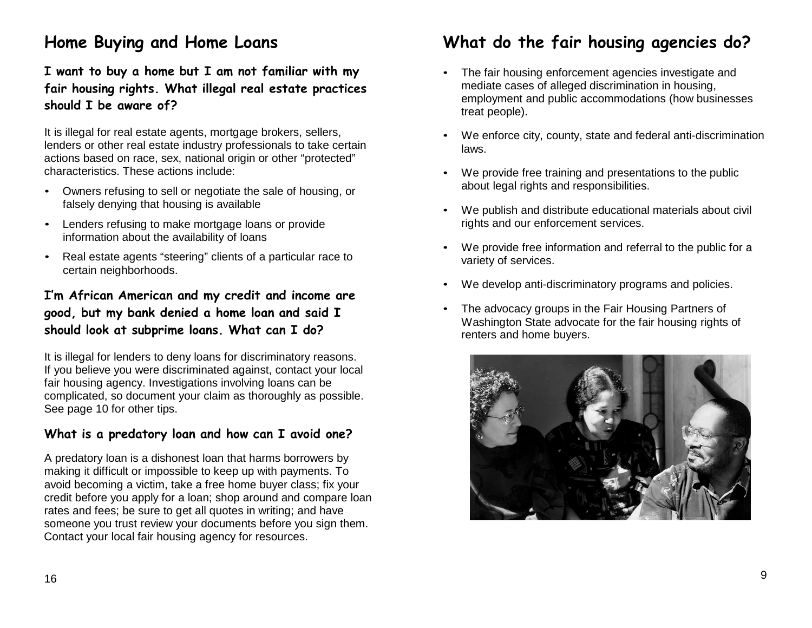# **Home Buying and Home Loans**

**I want to buy a home but I am not familiar with my fair housing rights. What illegal real estate practices should I be aware of?**

It is illegal for real estate agents, mortgage brokers, sellers, lenders or other real estate industry professionals to take certain actions based on race, sex, national origin or other "protected" characteristics. These actions include:

- Owners refusing to sell or negotiate the sale of housing, or falsely denying that housing is available
- Lenders refusing to make mortgage loans or provide information about the availability of loans
- Real estate agents "steering" clients of a particular race to certain neighborhoods.

### **I'm African American and my credit and income are good, but my bank denied a home loan and said I should look at subprime loans. What can I do?**

It is illegal for lenders to deny loans for discriminatory reasons. If you believe you were discriminated against, contact your local fair housing agency. Investigations involving loans can be complicated, so document your claim as thoroughly as possible. See page 10 for other tips.

### **What is a predatory loan and how can I avoid one?**

A predatory loan is a dishonest loan that harms borrowers by making it difficult or impossible to keep up with payments. To avoid becoming a victim, take a free home buyer class; fix your credit before you apply for a loan; shop around and compare loan rates and fees; be sure to get all quotes in writing; and have someone you trust review your documents before you sign them. Contact your local fair housing agency for resources.

# **What do the fair housing agencies do?**

- The fair housing enforcement agencies investigate and mediate cases of alleged discrimination in housing, employment and public accommodations (how businesses treat people).
- We enforce city, county, state and federal anti-discrimination laws.
- We provide free training and presentations to the public about legal rights and responsibilities.
- We publish and distribute educational materials about civil rights and our enforcement services.
- We provide free information and referral to the public for a variety of services.
- We develop anti-discriminatory programs and policies.
- The advocacy groups in the Fair Housing Partners of Washington State advocate for the fair housing rights of renters and home buyers.

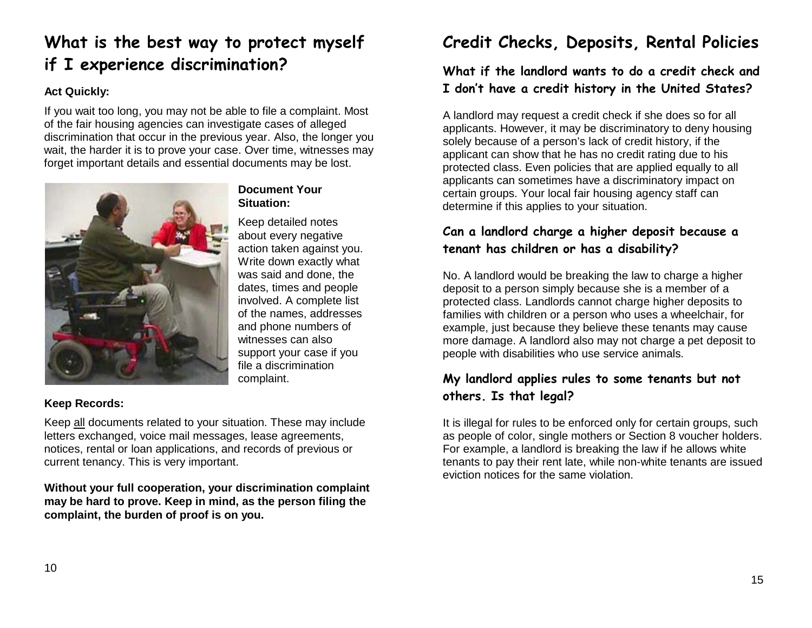# **What is the best way to protect myself if I experience discrimination?**

#### **Act Quickly:**

If you wait too long, you may not be able to file a complaint. Most of the fair housing agencies can investigate cases of alleged discrimination that occur in the previous year. Also, the longer you wait, the harder it is to prove your case. Over time, witnesses may forget important details and essential documents may be lost.



### **Document Your Situation:**

Keep detailed notes about every negative action taken against you. Write down exactly what was said and done, the dates, times and people involved. A complete list of the names, addresses and phone numbers of witnesses can also support your case if you file a discrimination complaint.

#### **Keep Records:**

Keep all documents related to your situation. These may include letters exchanged, voice mail messages, lease agreements, notices, rental or loan applications, and records of previous or current tenancy. This is very important.

**Without your full cooperation, your discrimination complaint may be hard to prove. Keep in mind, as the person filing the complaint, the burden of proof is on you.**

# **Credit Checks, Deposits, Rental Policies**

### **What if the landlord wants to do a credit check and I don't have a credit history in the United States?**

A landlord may request a credit check if she does so for all applicants. However, it may be discriminatory to deny housing solely because of a person's lack of credit history, if the applicant can show that he has no credit rating due to his protected class. Even policies that are applied equally to all applicants can sometimes have a discriminatory impact on certain groups. Your local fair housing agency staff can determine if this applies to your situation.

### **Can a landlord charge a higher deposit because a tenant has children or has a disability?**

No. A landlord would be breaking the law to charge a higher deposit to a person simply because she is a member of a protected class. Landlords cannot charge higher deposits to families with children or a person who uses a wheelchair, for example, just because they believe these tenants may cause more damage. A landlord also may not charge a pet deposit to people with disabilities who use service animals.

### **My landlord applies rules to some tenants but not others. Is that legal?**

It is illegal for rules to be enforced only for certain groups, such as people of color, single mothers or Section 8 voucher holders. For example, a landlord is breaking the law if he allows white tenants to pay their rent late, while non-white tenants are issued eviction notices for the same violation.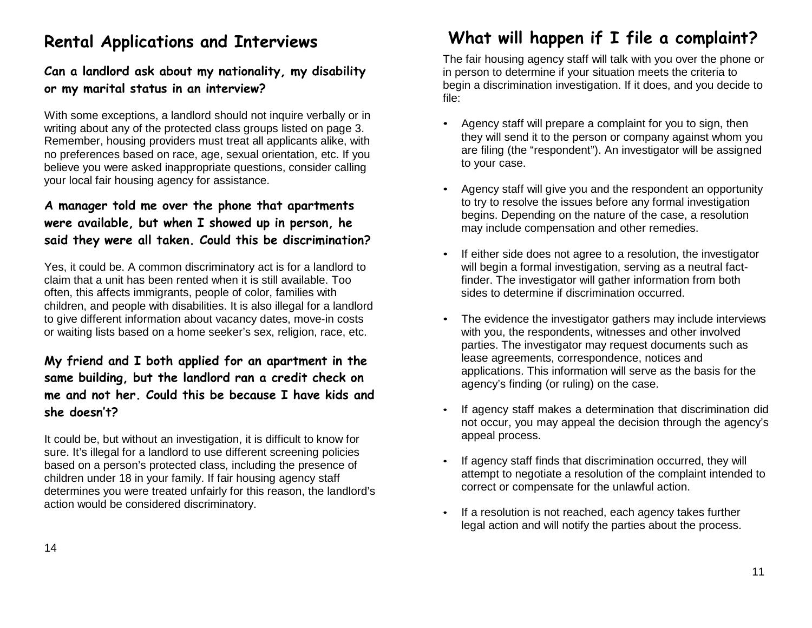# **Rental Applications and Interviews**

### **Can a landlord ask about my nationality, my disability or my marital status in an interview?**

With some exceptions, a landlord should not inquire verbally or in writing about any of the protected class groups listed on page 3. Remember, housing providers must treat all applicants alike, with no preferences based on race, age, sexual orientation, etc. If you believe you were asked inappropriate questions, consider calling your local fair housing agency for assistance.

### **A manager told me over the phone that apartments were available, but when I showed up in person, he said they were all taken. Could this be discrimination?**

Yes, it could be. A common discriminatory act is for a landlord to claim that a unit has been rented when it is still available. Too often, this affects immigrants, people of color, families with children, and people with disabilities. It is also illegal for a landlord to give different information about vacancy dates, move-in costs or waiting lists based on a home seeker's sex, religion, race, etc.

### **My friend and I both applied for an apartment in the same building, but the landlord ran a credit check on me and not her. Could this be because I have kids and she doesn't?**

It could be, but without an investigation, it is difficult to know for sure. It's illegal for a landlord to use different screening policies based on a person's protected class, including the presence of children under 18 in your family. If fair housing agency staff determines you were treated unfairly for this reason, the landlord's action would be considered discriminatory.

# **What will happen if I file a complaint?**

The fair housing agency staff will talk with you over the phone or in person to determine if your situation meets the criteria to begin a discrimination investigation. If it does, and you decide to file:

- Agency staff will prepare a complaint for you to sign, then they will send it to the person or company against whom you are filing (the "respondent"). An investigator will be assigned to your case.
- Agency staff will give you and the respondent an opportunity to try to resolve the issues before any formal investigation begins. Depending on the nature of the case, a resolution may include compensation and other remedies.
- If either side does not agree to a resolution, the investigator will begin a formal investigation, serving as a neutral factfinder. The investigator will gather information from both sides to determine if discrimination occurred.
- The evidence the investigator gathers may include interviews with you, the respondents, witnesses and other involved parties. The investigator may request documents such as lease agreements, correspondence, notices and applications. This information will serve as the basis for the agency's finding (or ruling) on the case.
- If agency staff makes a determination that discrimination did not occur, you may appeal the decision through the agency's appeal process.
- If agency staff finds that discrimination occurred, they will attempt to negotiate a resolution of the complaint intended to correct or compensate for the unlawful action.
- If a resolution is not reached, each agency takes further legal action and will notify the parties about the process.